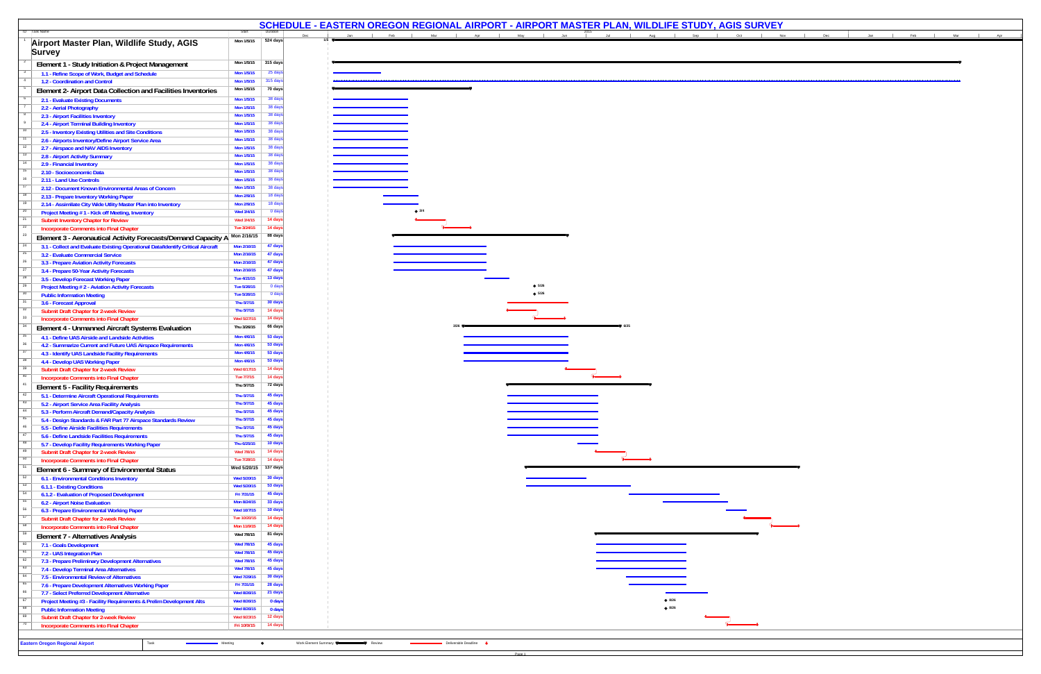|                                                                                                                   |                            |                     | SCHEDULE - EASTERN OREGON REGIONAL AIRPORT - AIRPORT MASTER PLAN, WILDLIFE STUDY, AGIS SURVEY |               |                        |                                                                                                                                                                                                                                                  |                |     |                                              |  |  |
|-------------------------------------------------------------------------------------------------------------------|----------------------------|---------------------|-----------------------------------------------------------------------------------------------|---------------|------------------------|--------------------------------------------------------------------------------------------------------------------------------------------------------------------------------------------------------------------------------------------------|----------------|-----|----------------------------------------------|--|--|
| ID Task Name                                                                                                      | Start<br>Mon 1/5/15        | 524 days            |                                                                                               | Mar           |                        | <b>Example 20</b> April 20 May 20 May 20 May 20 May 20 May 20 May 20 May 20 May 20 May 20 May 20 May 20 May 20 May 20 May 20 May 20 May 20 May 20 May 20 May 20 May 20 May 20 May 20 May 20 May 20 May 20 May 20 May 20 May 20 May<br><b>Jul</b> | Aug            | Sep | <b>Contract Contract</b><br>Oct   Nov<br>Dec |  |  |
| Airport Master Plan, Wildlife Study, AGIS                                                                         |                            |                     |                                                                                               |               |                        |                                                                                                                                                                                                                                                  |                |     |                                              |  |  |
| <b>Survey</b>                                                                                                     |                            |                     |                                                                                               |               |                        |                                                                                                                                                                                                                                                  |                |     |                                              |  |  |
| Element 1 - Study Initiation & Project Management                                                                 | Mon 1/5/15                 | 315 days            |                                                                                               |               |                        |                                                                                                                                                                                                                                                  |                |     |                                              |  |  |
| 1.1 - Refine Scope of Work, Budget and Schedule                                                                   | Mon 1/5/15                 | 25 days             |                                                                                               |               |                        |                                                                                                                                                                                                                                                  |                |     |                                              |  |  |
| 1.2 - Coordination and Control                                                                                    | Mon 1/5/15<br>Mon 1/5/15   | 315 days<br>70 days |                                                                                               |               |                        |                                                                                                                                                                                                                                                  |                |     |                                              |  |  |
| Element 2- Airport Data Collection and Facilities Inventories                                                     |                            |                     |                                                                                               |               |                        |                                                                                                                                                                                                                                                  |                |     |                                              |  |  |
| 2.1 - Evaluate Existing Documents<br>2.2 - Aerial Photography                                                     | Mon 1/5/15<br>Mon 1/5/15   | 38 days<br>38 days  |                                                                                               |               |                        |                                                                                                                                                                                                                                                  |                |     |                                              |  |  |
| 2.3 - Airport Facilities Inventory                                                                                | Mon 1/5/15                 | 38 days             |                                                                                               |               |                        |                                                                                                                                                                                                                                                  |                |     |                                              |  |  |
| 2.4 - Airport Terminal Building Inventory                                                                         | Mon 1/5/15                 | 38 days             |                                                                                               |               |                        |                                                                                                                                                                                                                                                  |                |     |                                              |  |  |
| 2.5 - Inventory Existing Utilities and Site Conditions                                                            | Mon 1/5/15                 | 38 days             |                                                                                               |               |                        |                                                                                                                                                                                                                                                  |                |     |                                              |  |  |
| 2.6 - Airports Inventory/Define Airport Service Area                                                              | Mon 1/5/15                 | 38 days             |                                                                                               |               |                        |                                                                                                                                                                                                                                                  |                |     |                                              |  |  |
| 2.7 - Airspace and NAV AIDS Inventory<br>2.8 - Airport Activity Summary                                           | Mon 1/5/15<br>Mon 1/5/15   | 38 days<br>38 days  |                                                                                               |               |                        |                                                                                                                                                                                                                                                  |                |     |                                              |  |  |
| 2.9 - Financial Inventory                                                                                         | Mon 1/5/15                 | 38 days             |                                                                                               |               |                        |                                                                                                                                                                                                                                                  |                |     |                                              |  |  |
| 2.10 - Socioeconomic Data                                                                                         | Mon 1/5/15                 | 38 days             |                                                                                               |               |                        |                                                                                                                                                                                                                                                  |                |     |                                              |  |  |
| 2.11 - Land Use Controls                                                                                          | Mon 1/5/15                 | 38 days             |                                                                                               |               |                        |                                                                                                                                                                                                                                                  |                |     |                                              |  |  |
| 2.12 - Document Known Environmental Areas of Concern                                                              | Mon 1/5/15                 | 38 days             |                                                                                               |               |                        |                                                                                                                                                                                                                                                  |                |     |                                              |  |  |
| 2.13 - Prepare Inventory Working Paper                                                                            | Mon 2/9/15<br>Mon 2/9/15   | 18 days<br>18 days  |                                                                                               |               |                        |                                                                                                                                                                                                                                                  |                |     |                                              |  |  |
| 2.14 - Assimilate City Wide Utlity Master Plan into Inventory<br>Project Meeting #1 - Kick off Meeting, Inventory | Wed 3/4/15                 | 0 days              |                                                                                               | $\bullet$ 3/4 |                        |                                                                                                                                                                                                                                                  |                |     |                                              |  |  |
| <b>Submit Inventory Chapter for Review</b>                                                                        | Wed 3/4/15                 | 14 days             |                                                                                               |               |                        |                                                                                                                                                                                                                                                  |                |     |                                              |  |  |
| <b>Incorporate Comments into Final Chapter</b>                                                                    | Tue 3/24/15                | 14 days             |                                                                                               |               |                        |                                                                                                                                                                                                                                                  |                |     |                                              |  |  |
| Element 3 - Aeronautical Activity Forecasts/Demand Capacity A                                                     | Mon 2/16/15                | 88 days             |                                                                                               |               |                        |                                                                                                                                                                                                                                                  |                |     |                                              |  |  |
| 3.1 - Collect and Evaluate Existing Operational Data/Identify Critical Aircraft                                   | Mon 2/16/15                | 47 days             |                                                                                               |               |                        |                                                                                                                                                                                                                                                  |                |     |                                              |  |  |
| 3.2 - Evaluate Commercial Service                                                                                 | Mon 2/16/15                | 47 days             |                                                                                               |               |                        |                                                                                                                                                                                                                                                  |                |     |                                              |  |  |
| 3.3 - Prepare Aviation Activity Forecasts<br>3.4 - Prepare 50-Year Activity Forecasts                             | Mon 2/16/15<br>Mon 2/16/15 | 47 days<br>47 days  |                                                                                               |               |                        |                                                                                                                                                                                                                                                  |                |     |                                              |  |  |
| 3.5 - Develop Forecast Working Paper                                                                              | Tue 4/21/15                | 13 days             |                                                                                               |               |                        |                                                                                                                                                                                                                                                  |                |     |                                              |  |  |
| <b>Project Meeting #2 - Aviation Activity Forecasts</b>                                                           | Tue 5/26/15                | 0 days              |                                                                                               |               |                        | $\leftrightarrow$ 5/26                                                                                                                                                                                                                           |                |     |                                              |  |  |
| <b>Public Information Meeting</b>                                                                                 | Tue 5/26/15                | 0 days              |                                                                                               |               |                        | $\bullet$ 5/26                                                                                                                                                                                                                                   |                |     |                                              |  |  |
| 3.6 - Forecast Approval                                                                                           | Thu 5/7/15                 | 30 days             |                                                                                               |               |                        |                                                                                                                                                                                                                                                  |                |     |                                              |  |  |
| <b>Submit Draft Chapter for 2-week Review</b>                                                                     | Thu 5/7/15<br>Wed 5/27/15  | 14 days<br>14 days  |                                                                                               |               |                        |                                                                                                                                                                                                                                                  |                |     |                                              |  |  |
| <b>Incorporate Comments into Final Chapter</b><br>Element 4 - Unmanned Aircraft Systems Evaluation                | Thu 3/26/15                | 66 days             |                                                                                               |               |                        |                                                                                                                                                                                                                                                  |                |     |                                              |  |  |
| 4.1 - Define UAS Airside and Landside Activities                                                                  | Mon 4/6/15                 | 53 days             |                                                                                               |               |                        |                                                                                                                                                                                                                                                  |                |     |                                              |  |  |
| 4.2 - Summarize Current and Future UAS Airspace Requirements                                                      | Mon 4/6/15                 | 53 days             |                                                                                               |               |                        |                                                                                                                                                                                                                                                  |                |     |                                              |  |  |
| 4.3 - Identify UAS Landside Facility Requirements                                                                 | Mon 4/6/15                 | 53 days             |                                                                                               |               |                        |                                                                                                                                                                                                                                                  |                |     |                                              |  |  |
| 4.4 - Develop UAS Working Paper<br>39                                                                             | Mon 4/6/15                 | 53 days             |                                                                                               |               |                        |                                                                                                                                                                                                                                                  |                |     |                                              |  |  |
| <b>Submit Draft Chapter for 2-week Review</b>                                                                     | Wed 6/17/15                | 14 days<br>14 days  |                                                                                               |               |                        |                                                                                                                                                                                                                                                  |                |     |                                              |  |  |
| <b>Incorporate Comments into Final Chapter</b><br><b>Element 5 - Facility Requirements</b>                        | Tue 7/7/15<br>Thu 5/7/15   | 72 days             |                                                                                               |               |                        |                                                                                                                                                                                                                                                  |                |     |                                              |  |  |
| 5.1 - Determine Aircraft Operational Requirements                                                                 | Thu 5/7/15                 | 45 days             |                                                                                               |               |                        |                                                                                                                                                                                                                                                  |                |     |                                              |  |  |
| 5.2 - Airport Service Area Facility Analysis                                                                      | Thu 5/7/15                 | 45 days             |                                                                                               |               |                        |                                                                                                                                                                                                                                                  |                |     |                                              |  |  |
| 5.3 - Perform Aircraft Demand/Capacity Analysis                                                                   | Thu 5/7/15                 | 45 days             |                                                                                               |               |                        |                                                                                                                                                                                                                                                  |                |     |                                              |  |  |
| 5.4 - Design Standards & FAR Part 77 Airspace Standards Review                                                    | Thu 5/7/15                 | 45 days             |                                                                                               |               |                        |                                                                                                                                                                                                                                                  |                |     |                                              |  |  |
| 5.5 - Define Airside Facilities Requirements                                                                      | Thu 5/7/15                 | 45 days             |                                                                                               |               |                        |                                                                                                                                                                                                                                                  |                |     |                                              |  |  |
| 5.6 - Define Landside Facilities Requirements<br>5.7 - Develop Facility Requirements Working Paper                | Thu 5/7/15<br>Thu 6/25/15  | 45 days<br>10 days  |                                                                                               |               |                        |                                                                                                                                                                                                                                                  |                |     |                                              |  |  |
| <b>Submit Draft Chapter for 2-week Review</b>                                                                     | Wed 7/8/15                 | 14 days             |                                                                                               |               |                        |                                                                                                                                                                                                                                                  |                |     |                                              |  |  |
| <b>Incorporate Comments into Final Chapter</b>                                                                    | Tue 7/28/15                | 14 days             |                                                                                               |               |                        |                                                                                                                                                                                                                                                  |                |     |                                              |  |  |
| Element 6 - Summary of Environmental Status                                                                       | Wed 5/20/15                | 137 days            |                                                                                               |               |                        |                                                                                                                                                                                                                                                  |                |     |                                              |  |  |
| 6.1 - Environmental Conditions Inventory                                                                          | Wed 5/20/15                | 30 days             |                                                                                               |               |                        |                                                                                                                                                                                                                                                  |                |     |                                              |  |  |
| 6.1.1 - Existing Conditions                                                                                       | Wed 5/20/15<br>Fri 7/31/15 | 53 days<br>45 days  |                                                                                               |               |                        |                                                                                                                                                                                                                                                  |                |     |                                              |  |  |
| 6.1.2 - Evaluation of Proposed Development<br>6.2 - Airport Noise Evaluation                                      | Mon 8/24/15                | 33 days             |                                                                                               |               |                        |                                                                                                                                                                                                                                                  |                |     |                                              |  |  |
| 6.3 - Prepare Environmental Working Paper                                                                         | Wed 10/7/15                | 10 days             |                                                                                               |               |                        |                                                                                                                                                                                                                                                  |                |     |                                              |  |  |
| <b>Submit Draft Chapter for 2-week Review</b>                                                                     | Tue 10/20/15               | 14 days             |                                                                                               |               |                        |                                                                                                                                                                                                                                                  |                |     |                                              |  |  |
| 58<br><b>Incorporate Comments into Final Chapter</b>                                                              | Mon 11/9/15                | 14 days             |                                                                                               |               |                        |                                                                                                                                                                                                                                                  |                |     |                                              |  |  |
| <b>Element 7 - Alternatives Analysis</b>                                                                          | Wed 7/8/15                 | 81 days             |                                                                                               |               |                        |                                                                                                                                                                                                                                                  |                |     |                                              |  |  |
| 7.1 - Goals Development                                                                                           | Wed 7/8/15                 | 45 days             |                                                                                               |               |                        |                                                                                                                                                                                                                                                  |                |     |                                              |  |  |
| 7.2 - UAS Integration Plan<br>7.3 - Prepare Preliminary Development Alternatives                                  | Wed 7/8/15<br>Wed 7/8/15   | 45 days<br>45 days  |                                                                                               |               |                        |                                                                                                                                                                                                                                                  |                |     |                                              |  |  |
| 7.4 - Develop Terminal Area Alternatives                                                                          | Wed 7/8/15                 | 45 days             |                                                                                               |               |                        |                                                                                                                                                                                                                                                  |                |     |                                              |  |  |
| 7.5 - Environmental Review of Alternatives                                                                        | Wed 7/29/15                | 30 days             |                                                                                               |               |                        |                                                                                                                                                                                                                                                  |                |     |                                              |  |  |
| 7.6 - Prepare Development Alternatives Working Paper                                                              | Fri 7/31/15                | 28 days             |                                                                                               |               |                        |                                                                                                                                                                                                                                                  |                |     |                                              |  |  |
| 7.7 - Select Preferred Development Alternative                                                                    | Wed 8/26/15                | 21 days             |                                                                                               |               |                        |                                                                                                                                                                                                                                                  | $\bullet$ 8/26 |     |                                              |  |  |
| Project Meeting #3 - Facility Requirements & Prelim Development Alts<br><b>Public Information Meeting</b>         | Wed 8/26/15<br>Wed 8/26/15 | 0 days<br>0 days    |                                                                                               |               |                        |                                                                                                                                                                                                                                                  | $\div 8/26$    |     |                                              |  |  |
| 69<br><b>Submit Draft Chapter for 2-week Review</b>                                                               | Wed 9/23/15                | 12 days             |                                                                                               |               |                        |                                                                                                                                                                                                                                                  |                |     |                                              |  |  |
| <b>Incorporate Comments into Final Chapter</b>                                                                    | Fri 10/9/15                | 14 days             |                                                                                               |               |                        |                                                                                                                                                                                                                                                  |                |     |                                              |  |  |
|                                                                                                                   |                            |                     |                                                                                               |               |                        |                                                                                                                                                                                                                                                  |                |     |                                              |  |  |
| Task<br><b>Eastern Oregon Regional Airport</b>                                                                    | Meeting                    | $\bullet$           | Work Element Summary<br>Review                                                                |               | Deliverable Deadline + |                                                                                                                                                                                                                                                  |                |     |                                              |  |  |

Page 1

 $\Box$